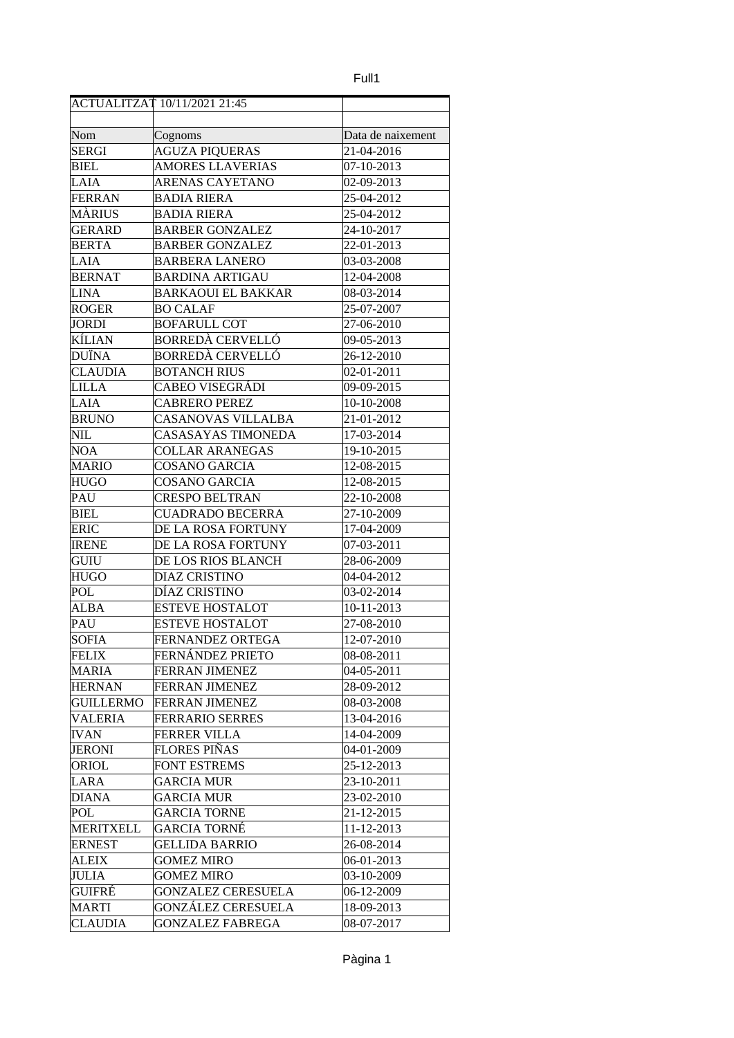| . .<br>× |  |
|----------|--|
|----------|--|

|                  | <b>ACTUALITZAT 10/11/2021 21:45</b> |                   |
|------------------|-------------------------------------|-------------------|
|                  |                                     |                   |
| Nom              | Cognoms                             | Data de naixement |
| <b>SERGI</b>     | <b>AGUZA PIQUERAS</b>               | 21-04-2016        |
| BIEL             | <b>AMORES LLAVERIAS</b>             | 07-10-2013        |
| LAIA             | <b>ARENAS CAYETANO</b>              | 02-09-2013        |
| <b>FERRAN</b>    | <b>BADIA RIERA</b>                  | 25-04-2012        |
| MÀRIUS           | <b>BADIA RIERA</b>                  | 25-04-2012        |
| GERARD           | <b>BARBER GONZALEZ</b>              | 24-10-2017        |
| <b>BERTA</b>     | <b>BARBER GONZALEZ</b>              | 22-01-2013        |
| LAIA             | <b>BARBERA LANERO</b>               | 03-03-2008        |
| <b>BERNAT</b>    | <b>BARDINA ARTIGAU</b>              | 12-04-2008        |
| LINA             | <b>BARKAOUI EL BAKKAR</b>           | 08-03-2014        |
| <b>ROGER</b>     | <b>BO CALAF</b>                     | 25-07-2007        |
| JORDI            | <b>BOFARULL COT</b>                 | 27-06-2010        |
| KÍLIAN           | <b>BORREDÀ CERVELLÓ</b>             | 09-05-2013        |
| DUÏNA            | <b>BORREDÀ CERVELLÓ</b>             | 26-12-2010        |
| <b>CLAUDIA</b>   | <b>BOTANCH RIUS</b>                 | 02-01-2011        |
| LILLA            | CABEO VISEGRÁDI                     | 09-09-2015        |
| LAIA             | <b>CABRERO PEREZ</b>                | 10-10-2008        |
| <b>BRUNO</b>     | <b>CASANOVAS VILLALBA</b>           | 21-01-2012        |
| NIL              | <b>CASASAYAS TIMONEDA</b>           | 17-03-2014        |
| NOA              | <b>COLLAR ARANEGAS</b>              | 19-10-2015        |
| MARIO            | <b>COSANO GARCIA</b>                | 12-08-2015        |
| <b>HUGO</b>      | <b>COSANO GARCIA</b>                | 12-08-2015        |
| PAU              | <b>CRESPO BELTRAN</b>               | 22-10-2008        |
| <b>BIEL</b>      | <b>CUADRADO BECERRA</b>             | 27-10-2009        |
| <b>ERIC</b>      | DE LA ROSA FORTUNY                  | 17-04-2009        |
| <b>IRENE</b>     | DE LA ROSA FORTUNY                  | 07-03-2011        |
| GUIU             | DE LOS RIOS BLANCH                  | 28-06-2009        |
| <b>HUGO</b>      | <b>DIAZ CRISTINO</b>                | 04-04-2012        |
| POL              | DÍAZ CRISTINO                       | 03-02-2014        |
| ALBA             | <b>ESTEVE HOSTALOT</b>              | 10-11-2013        |
| PAU              | <b>ESTEVE HOSTALOT</b>              | 27-08-2010        |
| <b>SOFIA</b>     | <b>FERNANDEZ ORTEGA</b>             | 12-07-2010        |
| <b>FELIX</b>     | FERNÁNDEZ PRIETO                    | 08-08-2011        |
| MARIA            | <b>FERRAN JIMENEZ</b>               | 04-05-2011        |
| <b>HERNAN</b>    | <b>FERRAN JIMENEZ</b>               | 28-09-2012        |
| <b>GUILLERMO</b> | <b>FERRAN JIMENEZ</b>               | 08-03-2008        |
| VALERIA          | <b>FERRARIO SERRES</b>              | 13-04-2016        |
| <b>IVAN</b>      | <b>FERRER VILLA</b>                 | 14-04-2009        |
| JERONI           | <b>FLORES PIÑAS</b>                 | 04-01-2009        |
| ORIOL            | <b>FONT ESTREMS</b>                 | 25-12-2013        |
| LARA             | <b>GARCIA MUR</b>                   | 23-10-2011        |
| <b>DIANA</b>     | <b>GARCIA MUR</b>                   | 23-02-2010        |
| POL              | <b>GARCIA TORNE</b>                 | 21-12-2015        |
| MERITXELL        | <b>GARCIA TORNÉ</b>                 | 11-12-2013        |
| <b>ERNEST</b>    | <b>GELLIDA BARRIO</b>               | 26-08-2014        |
| <b>ALEIX</b>     | <b>GOMEZ MIRO</b>                   | 06-01-2013        |
| <b>JULIA</b>     | <b>GOMEZ MIRO</b>                   | 03-10-2009        |
| GUIFRÉ           | <b>GONZALEZ CERESUELA</b>           | 06-12-2009        |
| <b>MARTI</b>     | <b>GONZÁLEZ CERESUELA</b>           | 18-09-2013        |
| <b>CLAUDIA</b>   | <b>GONZALEZ FABREGA</b>             | 08-07-2017        |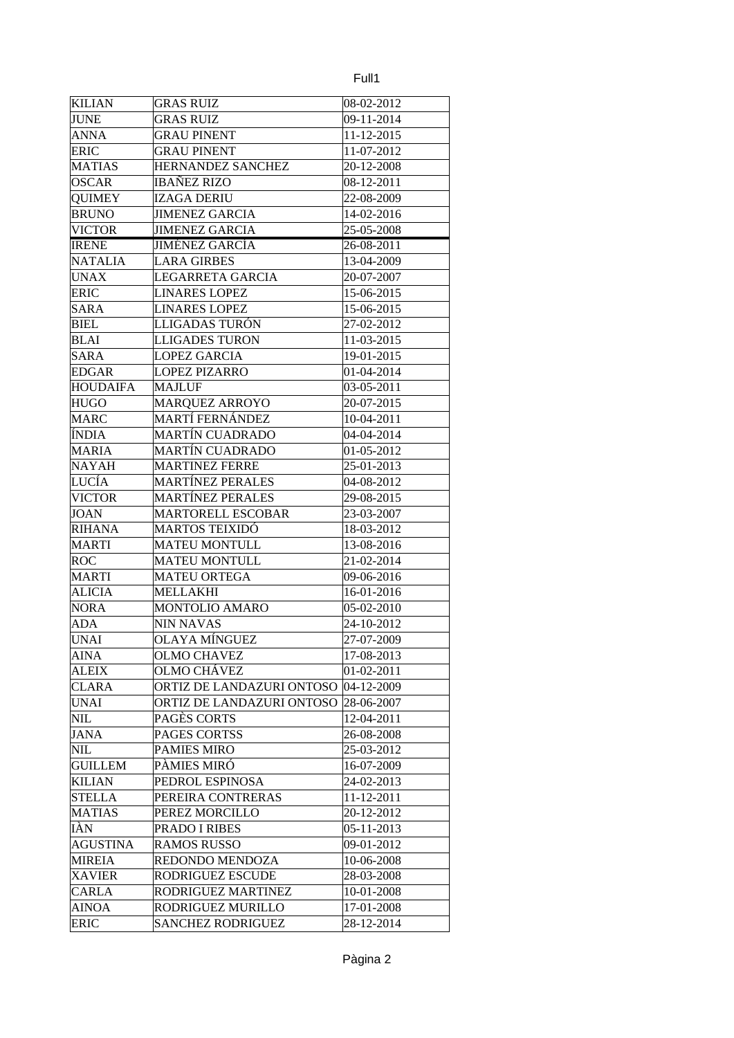| a sa<br>× |  |
|-----------|--|

| <b>KILIAN</b>   | <b>GRAS RUIZ</b>                       | 08-02-2012 |
|-----------------|----------------------------------------|------------|
| JUNE            | <b>GRAS RUIZ</b>                       | 09-11-2014 |
| ANNA            | <b>GRAU PINENT</b>                     | 11-12-2015 |
| ERIC            | <b>GRAU PINENT</b>                     | 11-07-2012 |
| <b>MATIAS</b>   | HERNANDEZ SANCHEZ                      | 20-12-2008 |
| <b>OSCAR</b>    | <b>IBAÑEZ RIZO</b>                     | 08-12-2011 |
| <b>QUIMEY</b>   | <b>IZAGA DERIU</b>                     | 22-08-2009 |
| <b>BRUNO</b>    | <b>JIMENEZ GARCIA</b>                  | 14-02-2016 |
| <b>VICTOR</b>   | <b>JIMENEZ GARCIA</b>                  | 25-05-2008 |
| <b>IRENE</b>    | <b>JIMÉNEZ GARCÍA</b>                  | 26-08-2011 |
| <b>NATALIA</b>  | <b>LARA GIRBES</b>                     | 13-04-2009 |
| <b>UNAX</b>     | <b>LEGARRETA GARCIA</b>                | 20-07-2007 |
| <b>ERIC</b>     | <b>LINARES LOPEZ</b>                   | 15-06-2015 |
| SARA            | <b>LINARES LOPEZ</b>                   | 15-06-2015 |
| BIEL            | LLIGADAS TURÓN                         | 27-02-2012 |
| BLAI            | LLIGADES TURON                         | 11-03-2015 |
| SARA            | <b>LOPEZ GARCIA</b>                    | 19-01-2015 |
| EDGAR           | <b>LOPEZ PIZARRO</b>                   | 01-04-2014 |
| <b>HOUDAIFA</b> | <b>MAJLUF</b>                          | 03-05-2011 |
| <b>HUGO</b>     | <b>MARQUEZ ARROYO</b>                  | 20-07-2015 |
| <b>MARC</b>     | MARTÍ FERNÁNDEZ                        | 10-04-2011 |
| ÍNDIA           | <b>MARTÍN CUADRADO</b>                 | 04-04-2014 |
| <b>MARIA</b>    | <b>MARTÍN CUADRADO</b>                 | 01-05-2012 |
| NAYAH           | <b>MARTINEZ FERRE</b>                  | 25-01-2013 |
| LUCÍA           | <b>MARTÍNEZ PERALES</b>                | 04-08-2012 |
| <b>VICTOR</b>   | <b>MARTÍNEZ PERALES</b>                | 29-08-2015 |
| <b>JOAN</b>     | <b>MARTORELL ESCOBAR</b>               | 23-03-2007 |
| <b>RIHANA</b>   | MARTOS TEIXIDÓ                         | 18-03-2012 |
| <b>MARTI</b>    | <b>MATEU MONTULL</b>                   | 13-08-2016 |
| <b>ROC</b>      | <b>MATEU MONTULL</b>                   | 21-02-2014 |
| <b>MARTI</b>    | <b>MATEU ORTEGA</b>                    | 09-06-2016 |
| ALICIA          | <b>MELLAKHI</b>                        | 16-01-2016 |
| NORA            | MONTOLIO AMARO                         | 05-02-2010 |
| ADA             | <b>NIN NAVAS</b>                       | 24-10-2012 |
| <b>UNAI</b>     | OLAYA MÍNGUEZ                          | 27-07-2009 |
| <b>AINA</b>     | <b>OLMO CHAVEZ</b>                     | 17-08-2013 |
| <b>ALEIX</b>    | OLMO CHÁVEZ                            | 01-02-2011 |
| CLARA           | ORTIZ DE LANDAZURI ONTOSO  04-12-2009  |            |
| UNAI            | ORTIZ DE LANDAZURI ONTOSO   28-06-2007 |            |
| NIL             | PAGÈS CORTS                            | 12-04-2011 |
| <b>JANA</b>     | <b>PAGES CORTSS</b>                    | 26-08-2008 |
| NIL             | <b>PAMIES MIRO</b>                     | 25-03-2012 |
| <b>GUILLEM</b>  | PÀMIES MIRÓ                            | 16-07-2009 |
| <b>KILIAN</b>   | PEDROL ESPINOSA                        | 24-02-2013 |
| <b>STELLA</b>   | PEREIRA CONTRERAS                      | 11-12-2011 |
| MATIAS          | PEREZ MORCILLO                         | 20-12-2012 |
| IÀN             | PRADO I RIBES                          | 05-11-2013 |
| AGUSTINA        | <b>RAMOS RUSSO</b>                     | 09-01-2012 |
| <b>MIREIA</b>   | REDONDO MENDOZA                        | 10-06-2008 |
| <b>XAVIER</b>   | RODRIGUEZ ESCUDE                       | 28-03-2008 |
| CARLA           | RODRIGUEZ MARTINEZ                     | 10-01-2008 |
| <b>AINOA</b>    | RODRIGUEZ MURILLO                      | 17-01-2008 |
| ERIC            | <b>SANCHEZ RODRIGUEZ</b>               | 28-12-2014 |